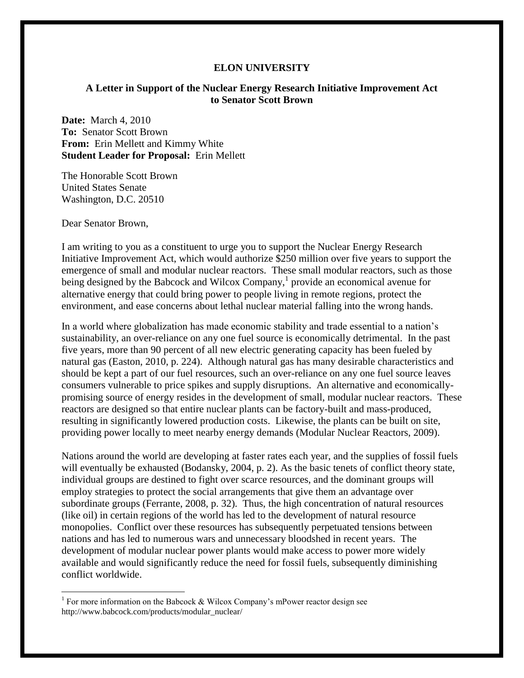## **ELON UNIVERSITY**

## **A Letter in Support of the Nuclear Energy Research Initiative Improvement Act to Senator Scott Brown**

**Date:** March 4, 2010 **To:** Senator Scott Brown **From:** Erin Mellett and Kimmy White **Student Leader for Proposal:** Erin Mellett

The Honorable Scott Brown United States Senate Washington, D.C. 20510

Dear Senator Brown,

 $\overline{\phantom{a}}$ 

I am writing to you as a constituent to urge you to support the Nuclear Energy Research Initiative Improvement Act, which would authorize \$250 million over five years to support the emergence of small and modular nuclear reactors. These small modular reactors, such as those being designed by the Babcock and Wilcox Company, $\frac{1}{2}$  provide an economical avenue for alternative energy that could bring power to people living in remote regions, protect the environment, and ease concerns about lethal nuclear material falling into the wrong hands.

In a world where globalization has made economic stability and trade essential to a nation's sustainability, an over-reliance on any one fuel source is economically detrimental. In the past five years, more than 90 percent of all new electric generating capacity has been fueled by natural gas (Easton, 2010, p. 224). Although natural gas has many desirable characteristics and should be kept a part of our fuel resources, such an over-reliance on any one fuel source leaves consumers vulnerable to price spikes and supply disruptions. An alternative and economicallypromising source of energy resides in the development of small, modular nuclear reactors. These reactors are designed so that entire nuclear plants can be factory-built and mass-produced, resulting in significantly lowered production costs. Likewise, the plants can be built on site, providing power locally to meet nearby energy demands (Modular Nuclear Reactors, 2009).

Nations around the world are developing at faster rates each year, and the supplies of fossil fuels will eventually be exhausted (Bodansky, 2004, p. 2). As the basic tenets of conflict theory state, individual groups are destined to fight over scarce resources, and the dominant groups will employ strategies to protect the social arrangements that give them an advantage over subordinate groups (Ferrante, 2008, p. 32). Thus, the high concentration of natural resources (like oil) in certain regions of the world has led to the development of natural resource monopolies. Conflict over these resources has subsequently perpetuated tensions between nations and has led to numerous wars and unnecessary bloodshed in recent years. The development of modular nuclear power plants would make access to power more widely available and would significantly reduce the need for fossil fuels, subsequently diminishing conflict worldwide.

<sup>&</sup>lt;sup>1</sup> For more information on the Babcock & Wilcox Company's mPower reactor design see http://www.babcock.com/products/modular\_nuclear/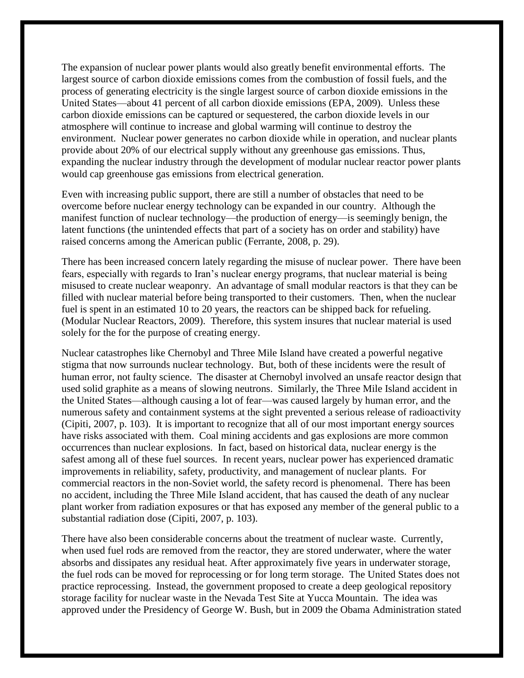The expansion of nuclear power plants would also greatly benefit environmental efforts. The largest source of carbon dioxide emissions comes from the combustion of fossil fuels, and the process of generating electricity is the single largest source of carbon dioxide emissions in the United States—about 41 percent of all carbon dioxide emissions (EPA, 2009). Unless these carbon dioxide emissions can be captured or sequestered, the carbon dioxide levels in our atmosphere will continue to increase and global warming will continue to destroy the environment. Nuclear power generates no carbon dioxide while in operation, and nuclear plants provide about 20% of our electrical supply without any greenhouse gas emissions. Thus, expanding the nuclear industry through the development of modular nuclear reactor power plants would cap greenhouse gas emissions from electrical generation.

Even with increasing public support, there are still a number of obstacles that need to be overcome before nuclear energy technology can be expanded in our country. Although the manifest function of nuclear technology—the production of energy—is seemingly benign, the latent functions (the unintended effects that part of a society has on order and stability) have raised concerns among the American public (Ferrante, 2008, p. 29).

There has been increased concern lately regarding the misuse of nuclear power. There have been fears, especially with regards to Iran's nuclear energy programs, that nuclear material is being misused to create nuclear weaponry. An advantage of small modular reactors is that they can be filled with nuclear material before being transported to their customers. Then, when the nuclear fuel is spent in an estimated 10 to 20 years, the reactors can be shipped back for refueling. (Modular Nuclear Reactors, 2009). Therefore, this system insures that nuclear material is used solely for the for the purpose of creating energy.

Nuclear catastrophes like Chernobyl and Three Mile Island have created a powerful negative stigma that now surrounds nuclear technology. But, both of these incidents were the result of human error, not faulty science. The disaster at Chernobyl involved an unsafe reactor design that used solid graphite as a means of slowing neutrons. Similarly, the Three Mile Island accident in the United States—although causing a lot of fear—was caused largely by human error, and the numerous safety and containment systems at the sight prevented a serious release of radioactivity (Cipiti, 2007, p. 103). It is important to recognize that all of our most important energy sources have risks associated with them. Coal mining accidents and gas explosions are more common occurrences than nuclear explosions. In fact, based on historical data, nuclear energy is the safest among all of these fuel sources. In recent years, nuclear power has experienced dramatic improvements in reliability, safety, productivity, and management of nuclear plants. For commercial reactors in the non-Soviet world, the safety record is phenomenal. There has been no accident, including the Three Mile Island accident, that has caused the death of any nuclear plant worker from radiation exposures or that has exposed any member of the general public to a substantial radiation dose (Cipiti, 2007, p. 103).

There have also been considerable concerns about the treatment of nuclear waste. Currently, when used fuel rods are removed from the reactor, they are stored underwater, where the water absorbs and dissipates any residual heat. After approximately five years in underwater storage, the fuel rods can be moved for reprocessing or for long term storage. The United States does not practice reprocessing. Instead, the government proposed to create a deep geological repository storage facility for nuclear waste in the Nevada Test Site at Yucca Mountain. The idea was approved under the Presidency of George W. Bush, but in 2009 the Obama Administration stated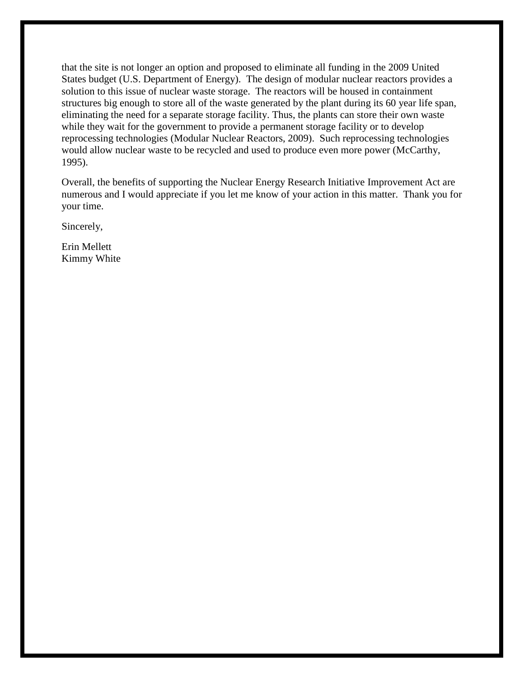that the site is not longer an option and proposed to eliminate all funding in the 2009 United States budget (U.S. Department of Energy). The design of modular nuclear reactors provides a solution to this issue of nuclear waste storage. The reactors will be housed in containment structures big enough to store all of the waste generated by the plant during its 60 year life span, eliminating the need for a separate storage facility. Thus, the plants can store their own waste while they wait for the government to provide a permanent storage facility or to develop reprocessing technologies (Modular Nuclear Reactors, 2009). Such reprocessing technologies would allow nuclear waste to be recycled and used to produce even more power (McCarthy, 1995).

Overall, the benefits of supporting the Nuclear Energy Research Initiative Improvement Act are numerous and I would appreciate if you let me know of your action in this matter. Thank you for your time.

Sincerely,

Erin Mellett Kimmy White